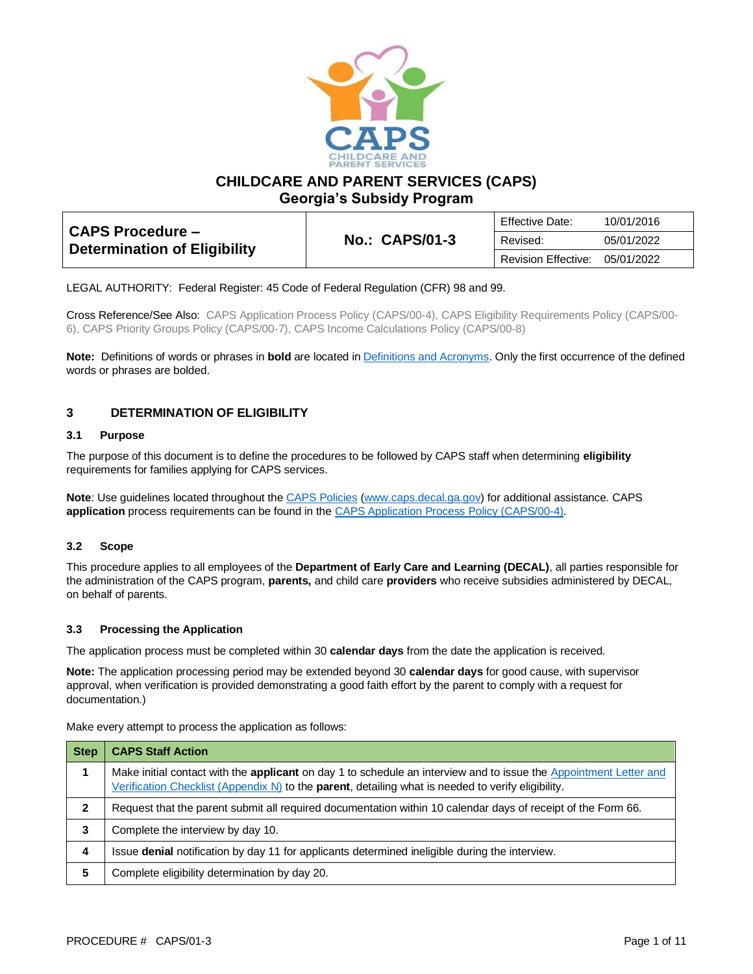

**CHILDCARE AND PARENT SERVICES (CAPS)**

**Georgia's Subsidy Program**

| <b>CAPS Procedure -</b><br><b>Determination of Eligibility</b> |                       | Effective Date:     | 10/01/2016 |
|----------------------------------------------------------------|-----------------------|---------------------|------------|
|                                                                | <b>No.: CAPS/01-3</b> | Revised:            | 05/01/2022 |
|                                                                |                       | Revision Effective: | 05/01/2022 |

LEGAL AUTHORITY: Federal Register: 45 Code of Federal Regulation (CFR) 98 and 99.

Cross Reference/See Also: CAPS Application Process Policy (CAPS/00-4), CAPS Eligibility Requirements Policy (CAPS/00- 6), CAPS Priority Groups Policy (CAPS/00-7), CAPS Income Calculations Policy (CAPS/00-8)

**Note:** Definitions of words or phrases in **bold** are located i[n Definitions and Acronyms.](https://caps.decal.ga.gov/assets/downloads/CAPS/02-CAPS_Policy-Definitions%20and%20Acronyms.pdf) Only the first occurrence of the defined words or phrases are bolded.

# **3 DETERMINATION OF ELIGIBILITY**

### **3.1 Purpose**

The purpose of this document is to define the procedures to be followed by CAPS staff when determining **eligibility** requirements for families applying for CAPS services.

**Note**: Use guidelines located throughout the [CAPS Policies](http://www.caps.decal.ga.gov/en/Policy/) [\(www.caps.decal.ga.gov\)](http://www.caps.decal.ga.gov/) for additional assistance. CAPS **application** process requirements can be found in the [CAPS Application Process Policy \(CAPS/00-4\).](https://caps.decal.ga.gov/assets/downloads/CAPS/04-CAPS_Policy-Application%20Process.pdf)

# **3.2 Scope**

This procedure applies to all employees of the **Department of Early Care and Learning (DECAL)**, all parties responsible for the administration of the CAPS program, **parents,** and child care **providers** who receive subsidies administered by DECAL, on behalf of parents.

# **3.3 Processing the Application**

The application process must be completed within 30 **calendar days** from the date the application is received.

**Note:** The application processing period may be extended beyond 30 **calendar days** for good cause, with supervisor approval, when verification is provided demonstrating a good faith effort by the parent to comply with a request for documentation.)

Make every attempt to process the application as follows:

| <b>Step</b> | <b>CAPS Staff Action</b>                                                                                                                                                                                                        |
|-------------|---------------------------------------------------------------------------------------------------------------------------------------------------------------------------------------------------------------------------------|
|             | Make initial contact with the applicant on day 1 to schedule an interview and to issue the Appointment Letter and<br>Verification Checklist (Appendix N) to the <b>parent</b> , detailing what is needed to verify eligibility. |
| 2           | Request that the parent submit all required documentation within 10 calendar days of receipt of the Form 66.                                                                                                                    |
| 3           | Complete the interview by day 10.                                                                                                                                                                                               |
| 4           | Issue denial notification by day 11 for applicants determined ineligible during the interview.                                                                                                                                  |
| 5           | Complete eligibility determination by day 20.                                                                                                                                                                                   |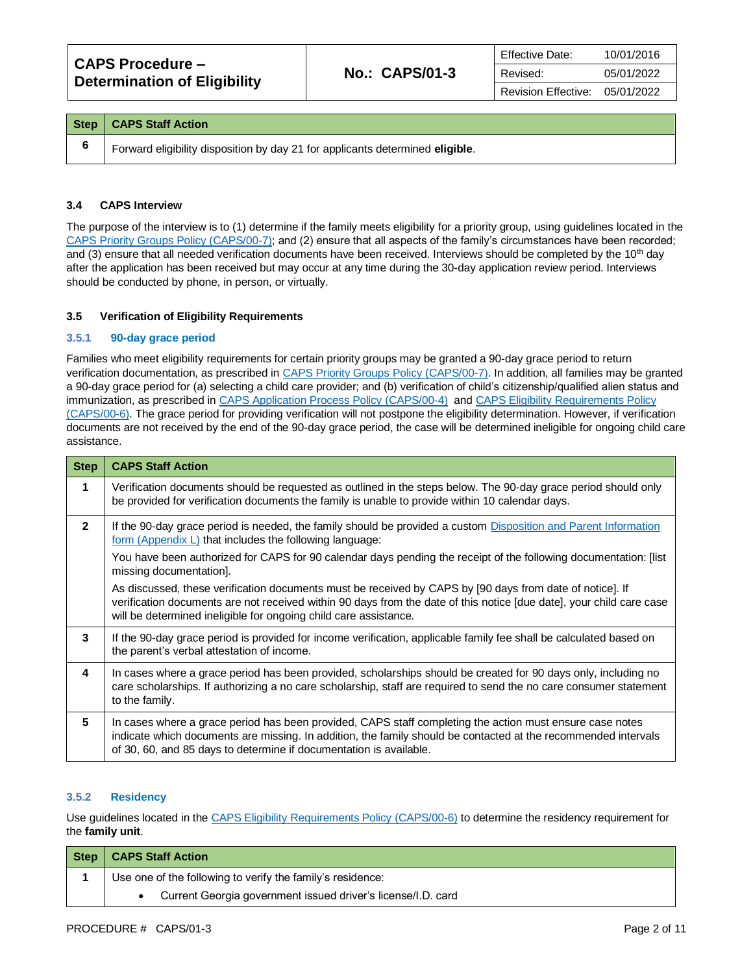| CAPS Procedure –<br><b>Determination of Eligibility</b> | <b>No.: CAPS/01-3</b> | <b>Effective Date:</b>     | 10/01/2016 |
|---------------------------------------------------------|-----------------------|----------------------------|------------|
|                                                         |                       | Revised:                   | 05/01/2022 |
|                                                         |                       | <b>Revision Effective:</b> | 05/01/2022 |

| Step   CAPS Staff Action                                                      |
|-------------------------------------------------------------------------------|
| Forward eligibility disposition by day 21 for applicants determined eligible. |

### **3.4 CAPS Interview**

The purpose of the interview is to (1) determine if the family meets eligibility for a priority group, using guidelines located in the [CAPS Priority Groups](https://caps.decal.ga.gov/assets/downloads/CAPS/07-CAPS_Policy-Priority%20Groups.pdf) Policy (CAPS/00-7); and (2) ensure that all aspects of the family's circumstances have been recorded; and (3) ensure that all needed verification documents have been received. Interviews should be completed by the 10<sup>th</sup> day after the application has been received but may occur at any time during the 30-day application review period. Interviews should be conducted by phone, in person, or virtually.

#### **3.5 Verification of Eligibility Requirements**

### **3.5.1 90-day grace period**

Families who meet eligibility requirements for certain priority groups may be granted a 90-day grace period to return verification documentation, as prescribed i[n CAPS Priority Groups Policy \(CAPS/00-7\).](https://caps.decal.ga.gov/assets/downloads/CAPS/07-CAPS_Policy-Priority%20Groups.pdf) In addition, all families may be granted a 90-day grace period for (a) selecting a child care provider; and (b) verification of child's citizenship/qualified alien status and immunization, as prescribed in [CAPS Application Process Policy \(CAPS/00-4\)](https://caps.decal.ga.gov/assets/downloads/CAPS/04-CAPS_Policy-Application%20Process.pdf) an[d CAPS Eligibility Requirements Policy](https://caps.decal.ga.gov/assets/downloads/CAPS/06-CAPS_Policy-Eligibility%20Requirements.pdf)  [\(CAPS/00-6\).](https://caps.decal.ga.gov/assets/downloads/CAPS/06-CAPS_Policy-Eligibility%20Requirements.pdf) The grace period for providing verification will not postpone the eligibility determination. However, if verification documents are not received by the end of the 90-day grace period, the case will be determined ineligible for ongoing child care assistance.

| <b>Step</b>    | <b>CAPS Staff Action</b>                                                                                                                                                                                                                                                                             |
|----------------|------------------------------------------------------------------------------------------------------------------------------------------------------------------------------------------------------------------------------------------------------------------------------------------------------|
| 1              | Verification documents should be requested as outlined in the steps below. The 90-day grace period should only<br>be provided for verification documents the family is unable to provide within 10 calendar days.                                                                                    |
| $\overline{2}$ | If the 90-day grace period is needed, the family should be provided a custom Disposition and Parent Information<br><u>form (Appendix L)</u> that includes the following language:                                                                                                                    |
|                | You have been authorized for CAPS for 90 calendar days pending the receipt of the following documentation: [list<br>missing documentation].                                                                                                                                                          |
|                | As discussed, these verification documents must be received by CAPS by [90 days from date of notice]. If<br>verification documents are not received within 90 days from the date of this notice [due date], your child care case<br>will be determined ineligible for ongoing child care assistance. |
| 3              | If the 90-day grace period is provided for income verification, applicable family fee shall be calculated based on<br>the parent's verbal attestation of income.                                                                                                                                     |
| 4              | In cases where a grace period has been provided, scholarships should be created for 90 days only, including no<br>care scholarships. If authorizing a no care scholarship, staff are required to send the no care consumer statement<br>to the family.                                               |
| 5              | In cases where a grace period has been provided, CAPS staff completing the action must ensure case notes<br>indicate which documents are missing. In addition, the family should be contacted at the recommended intervals<br>of 30, 60, and 85 days to determine if documentation is available.     |

#### **3.5.2 Residency**

Use guidelines located in th[e CAPS Eligibility Requirements Policy \(CAPS/00-6\)](https://caps.decal.ga.gov/assets/downloads/CAPS/06-CAPS_Policy-Eligibility%20Requirements.pdf) to determine the residency requirement for the **family unit**.

| Step | <b>CAPS Staff Action</b>                                     |
|------|--------------------------------------------------------------|
|      | Use one of the following to verify the family's residence:   |
|      | Current Georgia government issued driver's license/I.D. card |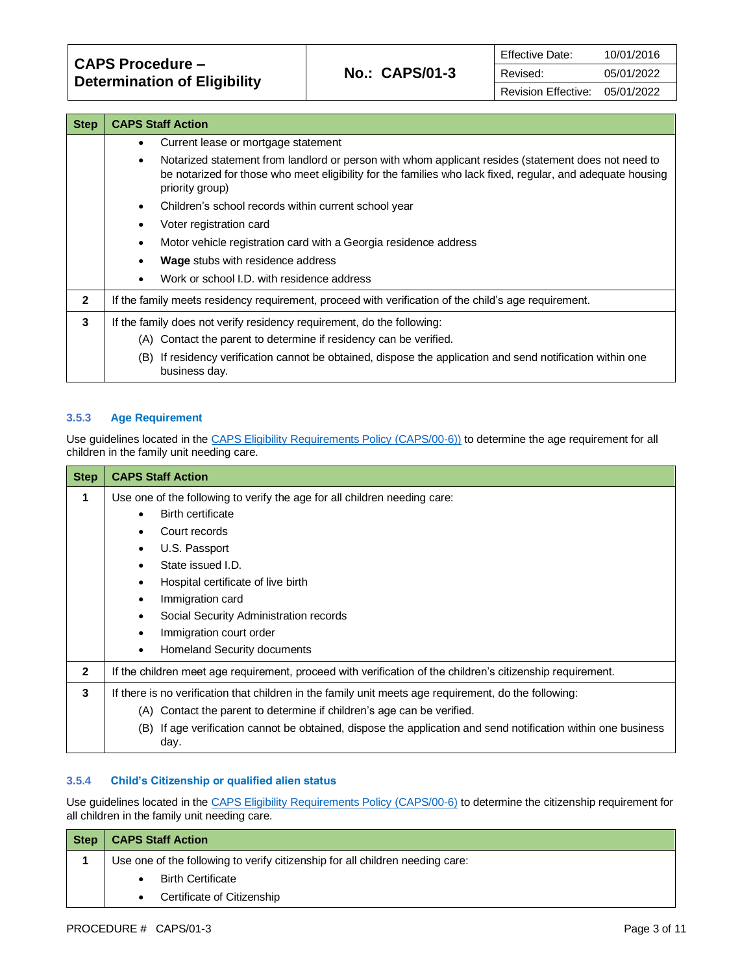| <b>Step</b>  | <b>CAPS Staff Action</b>                                                                                                                                                                                                                          |  |
|--------------|---------------------------------------------------------------------------------------------------------------------------------------------------------------------------------------------------------------------------------------------------|--|
|              | Current lease or mortgage statement<br>٠                                                                                                                                                                                                          |  |
|              | Notarized statement from landlord or person with whom applicant resides (statement does not need to<br>$\bullet$<br>be notarized for those who meet eligibility for the families who lack fixed, regular, and adequate housing<br>priority group) |  |
|              | Children's school records within current school year<br>$\bullet$                                                                                                                                                                                 |  |
|              | Voter registration card<br>$\bullet$                                                                                                                                                                                                              |  |
|              | Motor vehicle registration card with a Georgia residence address<br>$\bullet$                                                                                                                                                                     |  |
|              | <b>Wage</b> stubs with residence address<br>$\bullet$                                                                                                                                                                                             |  |
|              | Work or school I.D. with residence address<br>$\bullet$                                                                                                                                                                                           |  |
| $\mathbf{2}$ | If the family meets residency requirement, proceed with verification of the child's age requirement.                                                                                                                                              |  |
| 3            | If the family does not verify residency requirement, do the following:                                                                                                                                                                            |  |
|              | (A) Contact the parent to determine if residency can be verified.                                                                                                                                                                                 |  |
|              | If residency verification cannot be obtained, dispose the application and send notification within one<br>(B)<br>business day.                                                                                                                    |  |

### **3.5.3 Age Requirement**

Use guidelines located in th[e CAPS Eligibility Requirements Policy \(CAPS/00-6\)\)](https://caps.decal.ga.gov/assets/downloads/CAPS/06-CAPS_Policy-Eligibility%20Requirements.pdf) to determine the age requirement for all children in the family unit needing care.

| <b>Step</b>    | <b>CAPS Staff Action</b>                                                                                                 |  |  |
|----------------|--------------------------------------------------------------------------------------------------------------------------|--|--|
| 1              | Use one of the following to verify the age for all children needing care:                                                |  |  |
|                | <b>Birth certificate</b>                                                                                                 |  |  |
|                | Court records                                                                                                            |  |  |
|                | U.S. Passport                                                                                                            |  |  |
|                | State issued I.D.                                                                                                        |  |  |
|                | Hospital certificate of live birth                                                                                       |  |  |
|                | Immigration card                                                                                                         |  |  |
|                | Social Security Administration records                                                                                   |  |  |
|                | Immigration court order                                                                                                  |  |  |
|                | Homeland Security documents<br>٠                                                                                         |  |  |
| $\overline{2}$ | If the children meet age requirement, proceed with verification of the children's citizenship requirement.               |  |  |
| 3              | If there is no verification that children in the family unit meets age requirement, do the following:                    |  |  |
|                | (A) Contact the parent to determine if children's age can be verified.                                                   |  |  |
|                | If age verification cannot be obtained, dispose the application and send notification within one business<br>(B)<br>day. |  |  |

# **3.5.4 Child's Citizenship or qualified alien status**

Use guidelines located in th[e CAPS Eligibility Requirements Policy \(CAPS/00-6\)](https://caps.decal.ga.gov/assets/downloads/CAPS/06-CAPS_Policy-Eligibility%20Requirements.pdf) to determine the citizenship requirement for all children in the family unit needing care.

| <b>Step</b> | <b>CAPS Staff Action</b>                                                      |
|-------------|-------------------------------------------------------------------------------|
|             | Use one of the following to verify citizenship for all children needing care: |
|             | <b>Birth Certificate</b>                                                      |
|             | Certificate of Citizenship                                                    |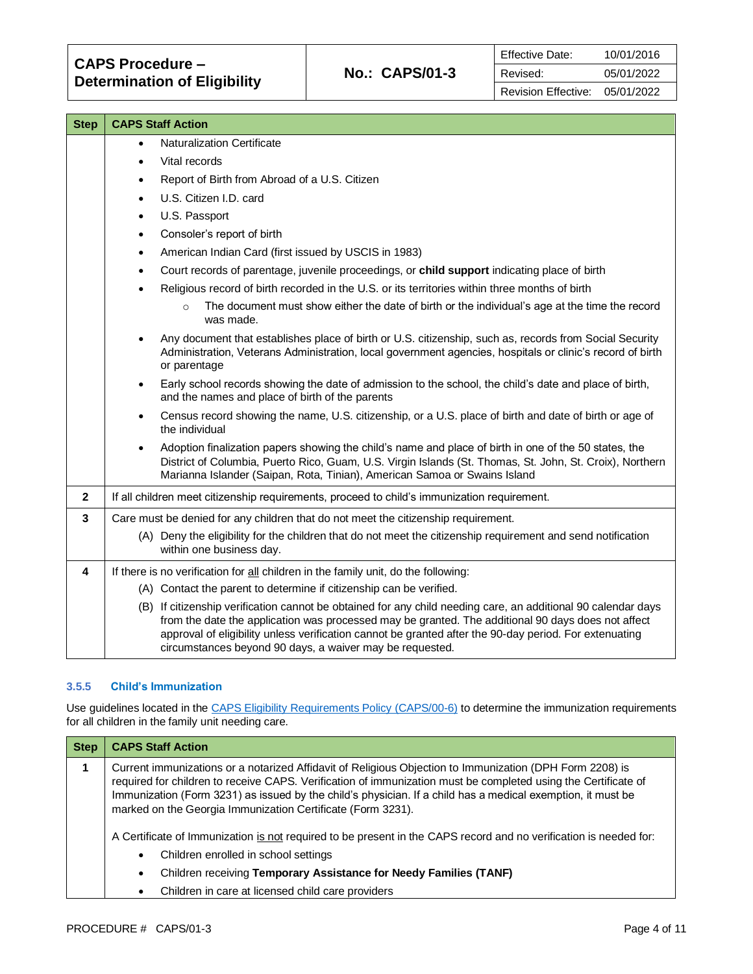| <b>Step</b>             | <b>CAPS Staff Action</b>                                                                                                                                                                                                                                                                                                                                                                  |
|-------------------------|-------------------------------------------------------------------------------------------------------------------------------------------------------------------------------------------------------------------------------------------------------------------------------------------------------------------------------------------------------------------------------------------|
|                         | Naturalization Certificate<br>$\bullet$                                                                                                                                                                                                                                                                                                                                                   |
|                         | Vital records<br>$\bullet$                                                                                                                                                                                                                                                                                                                                                                |
|                         | Report of Birth from Abroad of a U.S. Citizen<br>$\bullet$                                                                                                                                                                                                                                                                                                                                |
|                         | U.S. Citizen I.D. card<br>$\bullet$                                                                                                                                                                                                                                                                                                                                                       |
|                         | U.S. Passport<br>$\bullet$                                                                                                                                                                                                                                                                                                                                                                |
|                         | Consoler's report of birth<br>$\bullet$                                                                                                                                                                                                                                                                                                                                                   |
|                         | American Indian Card (first issued by USCIS in 1983)<br>$\bullet$                                                                                                                                                                                                                                                                                                                         |
|                         | Court records of parentage, juvenile proceedings, or child support indicating place of birth<br>$\bullet$                                                                                                                                                                                                                                                                                 |
|                         | Religious record of birth recorded in the U.S. or its territories within three months of birth<br>$\bullet$                                                                                                                                                                                                                                                                               |
|                         | The document must show either the date of birth or the individual's age at the time the record<br>$\Omega$<br>was made.                                                                                                                                                                                                                                                                   |
|                         | Any document that establishes place of birth or U.S. citizenship, such as, records from Social Security<br>$\bullet$<br>Administration, Veterans Administration, local government agencies, hospitals or clinic's record of birth<br>or parentage                                                                                                                                         |
|                         | Early school records showing the date of admission to the school, the child's date and place of birth,<br>$\bullet$<br>and the names and place of birth of the parents                                                                                                                                                                                                                    |
|                         | Census record showing the name, U.S. citizenship, or a U.S. place of birth and date of birth or age of<br>$\bullet$<br>the individual                                                                                                                                                                                                                                                     |
|                         | Adoption finalization papers showing the child's name and place of birth in one of the 50 states, the<br>$\bullet$<br>District of Columbia, Puerto Rico, Guam, U.S. Virgin Islands (St. Thomas, St. John, St. Croix), Northern<br>Marianna Islander (Saipan, Rota, Tinian), American Samoa or Swains Island                                                                               |
| $\mathbf{2}$            | If all children meet citizenship requirements, proceed to child's immunization requirement.                                                                                                                                                                                                                                                                                               |
| 3                       | Care must be denied for any children that do not meet the citizenship requirement.                                                                                                                                                                                                                                                                                                        |
|                         | (A) Deny the eligibility for the children that do not meet the citizenship requirement and send notification<br>within one business day.                                                                                                                                                                                                                                                  |
| $\overline{\mathbf{4}}$ | If there is no verification for all children in the family unit, do the following:                                                                                                                                                                                                                                                                                                        |
|                         | (A) Contact the parent to determine if citizenship can be verified.                                                                                                                                                                                                                                                                                                                       |
|                         | (B) If citizenship verification cannot be obtained for any child needing care, an additional 90 calendar days<br>from the date the application was processed may be granted. The additional 90 days does not affect<br>approval of eligibility unless verification cannot be granted after the 90-day period. For extenuating<br>circumstances beyond 90 days, a waiver may be requested. |

# **3.5.5 Child's Immunization**

Use guidelines located in th[e CAPS Eligibility Requirements Policy \(CAPS/00-6\)](https://caps.decal.ga.gov/assets/downloads/CAPS/06-CAPS_Policy-Eligibility%20Requirements.pdf) to determine the immunization requirements for all children in the family unit needing care.

| <b>Step</b> | <b>CAPS Staff Action</b>                                                                                                                                                                                                                                                                                                                                                                                 |
|-------------|----------------------------------------------------------------------------------------------------------------------------------------------------------------------------------------------------------------------------------------------------------------------------------------------------------------------------------------------------------------------------------------------------------|
|             | Current immunizations or a notarized Affidavit of Religious Objection to Immunization (DPH Form 2208) is<br>required for children to receive CAPS. Verification of immunization must be completed using the Certificate of<br>Immunization (Form 3231) as issued by the child's physician. If a child has a medical exemption, it must be<br>marked on the Georgia Immunization Certificate (Form 3231). |
|             | A Certificate of Immunization is not required to be present in the CAPS record and no verification is needed for:                                                                                                                                                                                                                                                                                        |
|             | Children enrolled in school settings<br>٠                                                                                                                                                                                                                                                                                                                                                                |
|             | Children receiving Temporary Assistance for Needy Families (TANF)<br>٠                                                                                                                                                                                                                                                                                                                                   |
|             | Children in care at licensed child care providers<br>٠                                                                                                                                                                                                                                                                                                                                                   |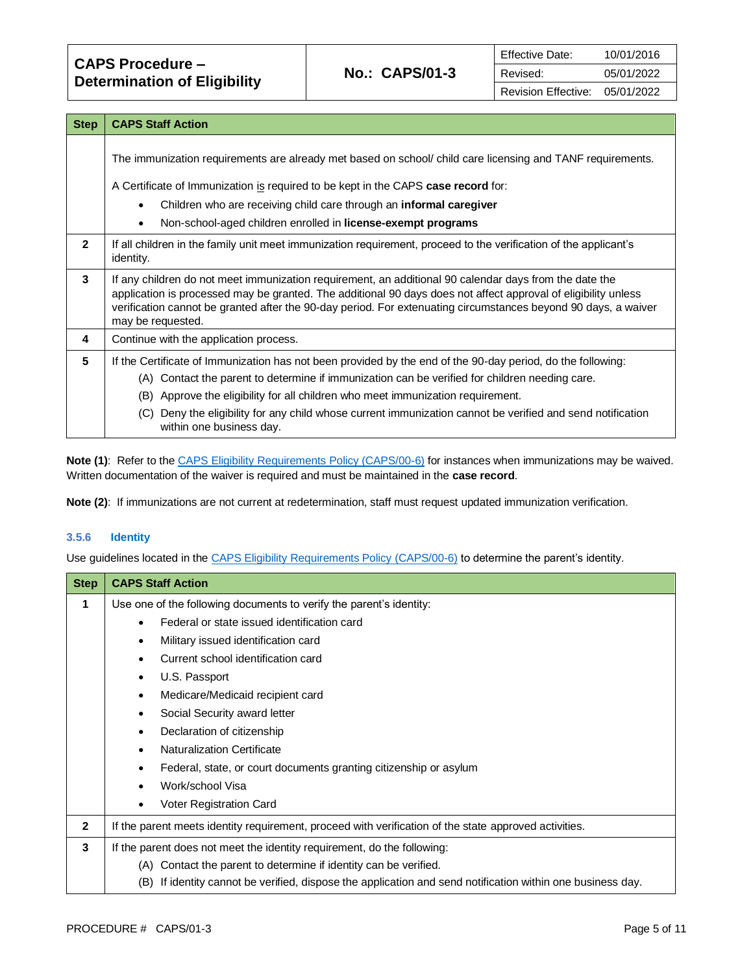**CAPS Procedure – Determination of Eligibility No.: CAPS/01-3**

| <b>Step</b>    | <b>CAPS Staff Action</b>                                                                                                                                                                                                                                                                                                                                        |  |
|----------------|-----------------------------------------------------------------------------------------------------------------------------------------------------------------------------------------------------------------------------------------------------------------------------------------------------------------------------------------------------------------|--|
|                | The immunization requirements are already met based on school/child care licensing and TANF requirements.                                                                                                                                                                                                                                                       |  |
|                | A Certificate of Immunization is required to be kept in the CAPS case record for:                                                                                                                                                                                                                                                                               |  |
|                | Children who are receiving child care through an <b>informal caregiver</b>                                                                                                                                                                                                                                                                                      |  |
|                | Non-school-aged children enrolled in license-exempt programs<br>$\bullet$                                                                                                                                                                                                                                                                                       |  |
| $\overline{2}$ | If all children in the family unit meet immunization requirement, proceed to the verification of the applicant's<br>identity.                                                                                                                                                                                                                                   |  |
| 3              | If any children do not meet immunization requirement, an additional 90 calendar days from the date the<br>application is processed may be granted. The additional 90 days does not affect approval of eligibility unless<br>verification cannot be granted after the 90-day period. For extenuating circumstances beyond 90 days, a waiver<br>may be requested. |  |
| 4              | Continue with the application process.                                                                                                                                                                                                                                                                                                                          |  |
| 5              | If the Certificate of Immunization has not been provided by the end of the 90-day period, do the following:                                                                                                                                                                                                                                                     |  |
|                | (A) Contact the parent to determine if immunization can be verified for children needing care.                                                                                                                                                                                                                                                                  |  |
|                | Approve the eligibility for all children who meet immunization requirement.<br>(B)                                                                                                                                                                                                                                                                              |  |
|                | Deny the eligibility for any child whose current immunization cannot be verified and send notification<br>(C)<br>within one business day.                                                                                                                                                                                                                       |  |

**Note (1)**: Refer to th[e CAPS Eligibility Requirements Policy \(CAPS/00-6\)](https://caps.decal.ga.gov/assets/downloads/CAPS/06-CAPS_Policy-Eligibility%20Requirements.pdf) for instances when immunizations may be waived. Written documentation of the waiver is required and must be maintained in the **case record**.

**Note (2)**: If immunizations are not current at redetermination, staff must request updated immunization verification.

# **3.5.6 Identity**

Use guidelines located in th[e CAPS Eligibility Requirements Policy \(CAPS/00-6\)](https://caps.decal.ga.gov/assets/downloads/CAPS/06-CAPS_Policy-Eligibility%20Requirements.pdf) to determine the parent's identity.

| <b>Step</b>  | <b>CAPS Staff Action</b>                                                                                      |
|--------------|---------------------------------------------------------------------------------------------------------------|
| 1            | Use one of the following documents to verify the parent's identity:                                           |
|              | Federal or state issued identification card                                                                   |
|              | Military issued identification card<br>٠                                                                      |
|              | Current school identification card                                                                            |
|              | U.S. Passport                                                                                                 |
|              | Medicare/Medicaid recipient card                                                                              |
|              | Social Security award letter<br>٠                                                                             |
|              | Declaration of citizenship<br>$\bullet$                                                                       |
|              | <b>Naturalization Certificate</b><br>٠                                                                        |
|              | Federal, state, or court documents granting citizenship or asylum                                             |
|              | Work/school Visa                                                                                              |
|              | Voter Registration Card                                                                                       |
| $\mathbf{2}$ | If the parent meets identity requirement, proceed with verification of the state approved activities.         |
| 3            | If the parent does not meet the identity requirement, do the following:                                       |
|              | (A) Contact the parent to determine if identity can be verified.                                              |
|              | If identity cannot be verified, dispose the application and send notification within one business day.<br>(B) |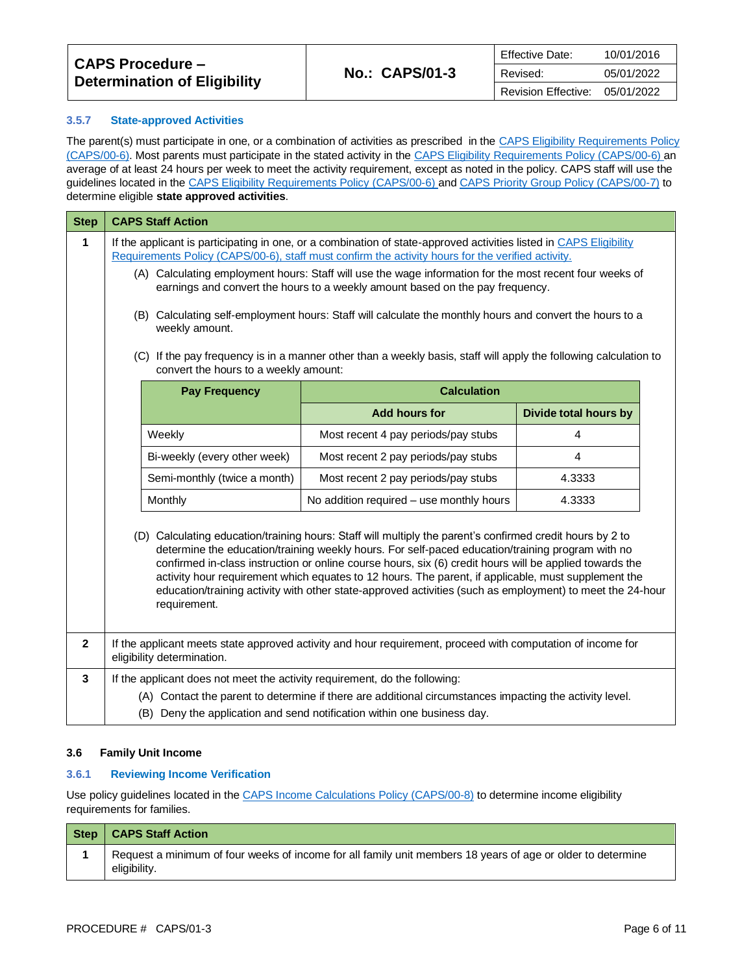| CAPS Procedure –<br><b>Determination of Eligibility</b> |                       | <b>Effective Date:</b>     | 10/01/2016 |
|---------------------------------------------------------|-----------------------|----------------------------|------------|
|                                                         | <b>No.: CAPS/01-3</b> | Revised:                   | 05/01/2022 |
|                                                         |                       | <b>Revision Effective:</b> | 05/01/2022 |

### **3.5.7 State-approved Activities**

The parent(s) must participate in one, or a combination of activities as prescribed in the CAPS Eligibility Requirements Policy [\(CAPS/00-6\).](https://caps.decal.ga.gov/assets/downloads/CAPS/06-CAPS_Policy-Eligibility%20Requirements.pdf) Most parents must participate in the stated activity in th[e CAPS Eligibility Requirements Policy \(CAPS/00-6\)](https://caps.decal.ga.gov/assets/downloads/CAPS/06-CAPS_Policy-Eligibility%20Requirements.pdf) an average of at least 24 hours per week to meet the activity requirement, except as noted in the policy. CAPS staff will use the guidelines located in the [CAPS Eligibility Requirements Policy \(CAPS/00-6\)](https://caps.decal.ga.gov/assets/downloads/CAPS/06-CAPS_Policy-Eligibility%20Requirements.pdf) an[d CAPS Priority Group Policy \(CAPS/00-7\)](https://caps.decal.ga.gov/assets/downloads/CAPS/07-CAPS_Policy-Priority%20Groups.pdf) to determine eligible **state approved activities**.

| <b>Step</b>  | <b>CAPS Staff Action</b>                                                                                                                                                                                                                                                                                                                                                                                                                                                                                                                                     |                                                                                                         |                              |  |  |  |  |
|--------------|--------------------------------------------------------------------------------------------------------------------------------------------------------------------------------------------------------------------------------------------------------------------------------------------------------------------------------------------------------------------------------------------------------------------------------------------------------------------------------------------------------------------------------------------------------------|---------------------------------------------------------------------------------------------------------|------------------------------|--|--|--|--|
| 1            | If the applicant is participating in one, or a combination of state-approved activities listed in CAPS Eligibility<br>Requirements Policy (CAPS/00-6), staff must confirm the activity hours for the verified activity.                                                                                                                                                                                                                                                                                                                                      |                                                                                                         |                              |  |  |  |  |
|              | (A) Calculating employment hours: Staff will use the wage information for the most recent four weeks of<br>earnings and convert the hours to a weekly amount based on the pay frequency.                                                                                                                                                                                                                                                                                                                                                                     |                                                                                                         |                              |  |  |  |  |
|              | (B) Calculating self-employment hours: Staff will calculate the monthly hours and convert the hours to a<br>weekly amount.                                                                                                                                                                                                                                                                                                                                                                                                                                   |                                                                                                         |                              |  |  |  |  |
|              | (C) If the pay frequency is in a manner other than a weekly basis, staff will apply the following calculation to<br>convert the hours to a weekly amount:                                                                                                                                                                                                                                                                                                                                                                                                    |                                                                                                         |                              |  |  |  |  |
|              | <b>Pay Frequency</b>                                                                                                                                                                                                                                                                                                                                                                                                                                                                                                                                         | <b>Calculation</b>                                                                                      |                              |  |  |  |  |
|              |                                                                                                                                                                                                                                                                                                                                                                                                                                                                                                                                                              | <b>Add hours for</b>                                                                                    | <b>Divide total hours by</b> |  |  |  |  |
|              | Weekly                                                                                                                                                                                                                                                                                                                                                                                                                                                                                                                                                       | Most recent 4 pay periods/pay stubs                                                                     | 4                            |  |  |  |  |
|              | Bi-weekly (every other week)                                                                                                                                                                                                                                                                                                                                                                                                                                                                                                                                 | Most recent 2 pay periods/pay stubs                                                                     | 4                            |  |  |  |  |
|              | Semi-monthly (twice a month)                                                                                                                                                                                                                                                                                                                                                                                                                                                                                                                                 | Most recent 2 pay periods/pay stubs                                                                     | 4.3333                       |  |  |  |  |
|              | Monthly                                                                                                                                                                                                                                                                                                                                                                                                                                                                                                                                                      | No addition required - use monthly hours                                                                | 4.3333                       |  |  |  |  |
|              | (D) Calculating education/training hours: Staff will multiply the parent's confirmed credit hours by 2 to<br>determine the education/training weekly hours. For self-paced education/training program with no<br>confirmed in-class instruction or online course hours, six (6) credit hours will be applied towards the<br>activity hour requirement which equates to 12 hours. The parent, if applicable, must supplement the<br>education/training activity with other state-approved activities (such as employment) to meet the 24-hour<br>requirement. |                                                                                                         |                              |  |  |  |  |
| $\mathbf{2}$ | If the applicant meets state approved activity and hour requirement, proceed with computation of income for<br>eligibility determination.                                                                                                                                                                                                                                                                                                                                                                                                                    |                                                                                                         |                              |  |  |  |  |
| 3            | If the applicant does not meet the activity requirement, do the following:                                                                                                                                                                                                                                                                                                                                                                                                                                                                                   |                                                                                                         |                              |  |  |  |  |
|              |                                                                                                                                                                                                                                                                                                                                                                                                                                                                                                                                                              | (A) Contact the parent to determine if there are additional circumstances impacting the activity level. |                              |  |  |  |  |
|              |                                                                                                                                                                                                                                                                                                                                                                                                                                                                                                                                                              | (B) Deny the application and send notification within one business day.                                 |                              |  |  |  |  |

#### **3.6 Family Unit Income**

### **3.6.1 Reviewing Income Verification**

Use policy guidelines located in the [CAPS Income Calculations Policy \(CAPS/00-8\)](https://caps.decal.ga.gov/assets/downloads/CAPS/08-CAPS_Policy-Income%20Calculations.pdf) to determine income eligibility requirements for families.

| Step | <b>CAPS Staff Action</b>                                                                                                    |
|------|-----------------------------------------------------------------------------------------------------------------------------|
|      | Request a minimum of four weeks of income for all family unit members 18 years of age or older to determine<br>eligibility. |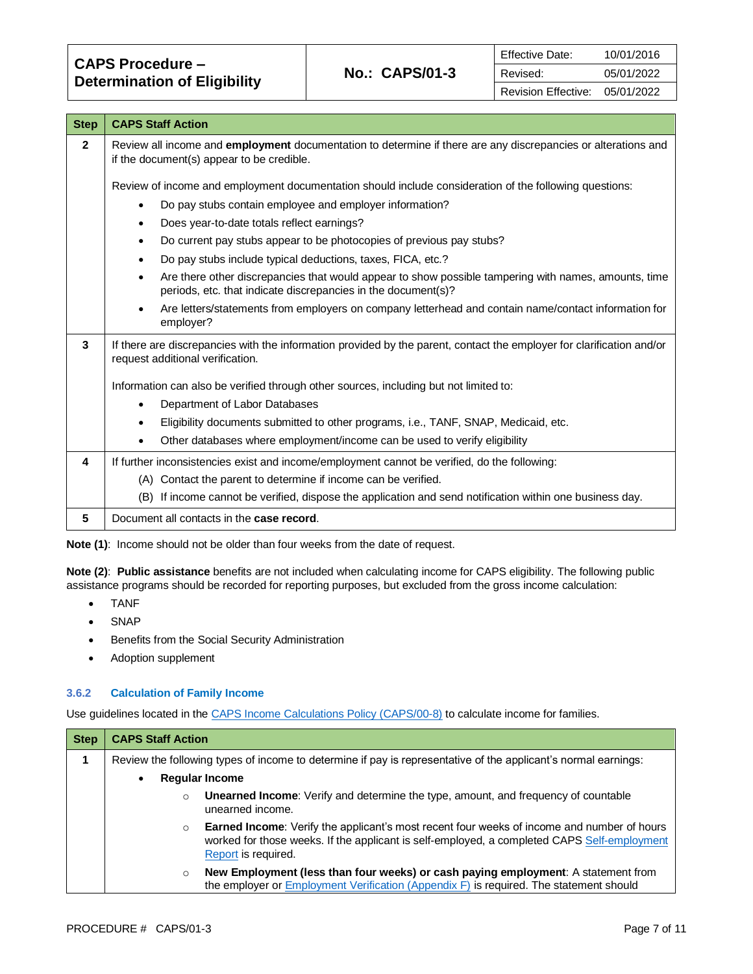| <b>CAPS Procedure -</b>             |  |
|-------------------------------------|--|
| <b>Determination of Eligibility</b> |  |

| <b>Step</b>  | <b>CAPS Staff Action</b>                                                                                                                                                           |  |  |  |
|--------------|------------------------------------------------------------------------------------------------------------------------------------------------------------------------------------|--|--|--|
| $\mathbf{2}$ | Review all income and employment documentation to determine if there are any discrepancies or alterations and<br>if the document(s) appear to be credible.                         |  |  |  |
|              | Review of income and employment documentation should include consideration of the following questions:                                                                             |  |  |  |
|              | Do pay stubs contain employee and employer information?<br>٠                                                                                                                       |  |  |  |
|              | Does year-to-date totals reflect earnings?<br>$\bullet$                                                                                                                            |  |  |  |
|              | Do current pay stubs appear to be photocopies of previous pay stubs?<br>$\bullet$                                                                                                  |  |  |  |
|              | Do pay stubs include typical deductions, taxes, FICA, etc.?<br>٠                                                                                                                   |  |  |  |
|              | Are there other discrepancies that would appear to show possible tampering with names, amounts, time<br>$\bullet$<br>periods, etc. that indicate discrepancies in the document(s)? |  |  |  |
|              | Are letters/statements from employers on company letterhead and contain name/contact information for<br>$\bullet$<br>employer?                                                     |  |  |  |
| 3            | If there are discrepancies with the information provided by the parent, contact the employer for clarification and/or<br>request additional verification.                          |  |  |  |
|              | Information can also be verified through other sources, including but not limited to:                                                                                              |  |  |  |
|              | Department of Labor Databases<br>$\bullet$                                                                                                                                         |  |  |  |
|              | Eligibility documents submitted to other programs, i.e., TANF, SNAP, Medicaid, etc.<br>$\bullet$                                                                                   |  |  |  |
|              | Other databases where employment/income can be used to verify eligibility                                                                                                          |  |  |  |
| 4            | If further inconsistencies exist and income/employment cannot be verified, do the following:                                                                                       |  |  |  |
|              | (A) Contact the parent to determine if income can be verified.                                                                                                                     |  |  |  |
|              | (B) If income cannot be verified, dispose the application and send notification within one business day.                                                                           |  |  |  |
| 5            | Document all contacts in the case record.                                                                                                                                          |  |  |  |

|  | <b>Note (1):</b> Income should not be older than four weeks from the date of request. |  |  |  |  |  |  |
|--|---------------------------------------------------------------------------------------|--|--|--|--|--|--|
|  |                                                                                       |  |  |  |  |  |  |

**Note (2)**: **Public assistance** benefits are not included when calculating income for CAPS eligibility. The following public assistance programs should be recorded for reporting purposes, but excluded from the gross income calculation:

- TANF
- SNAP
- Benefits from the Social Security Administration
- Adoption supplement

# **3.6.2 Calculation of Family Income**

Use guidelines located in th[e CAPS Income Calculations Policy \(CAPS/00-8\)](https://caps.decal.ga.gov/assets/downloads/CAPS/08-CAPS_Policy-Income%20Calculations.pdf) to calculate income for families.

| <b>Step</b> | <b>CAPS Staff Action</b>                                                                                       |                                                                                                                                                                                                                         |  |  |  |  |
|-------------|----------------------------------------------------------------------------------------------------------------|-------------------------------------------------------------------------------------------------------------------------------------------------------------------------------------------------------------------------|--|--|--|--|
|             | Review the following types of income to determine if pay is representative of the applicant's normal earnings: |                                                                                                                                                                                                                         |  |  |  |  |
|             | $\bullet$                                                                                                      | <b>Regular Income</b>                                                                                                                                                                                                   |  |  |  |  |
|             | $\circ$                                                                                                        | <b>Unearned Income:</b> Verify and determine the type, amount, and frequency of countable<br>unearned income.                                                                                                           |  |  |  |  |
|             | $\circ$                                                                                                        | <b>Earned Income:</b> Verify the applicant's most recent four weeks of income and number of hours<br>worked for those weeks. If the applicant is self-employed, a completed CAPS Self-employment<br>Report is required. |  |  |  |  |
|             | $\circ$                                                                                                        | New Employment (less than four weeks) or cash paying employment: A statement from<br>the employer or <b>Employment Verification</b> (Appendix F) is required. The statement should                                      |  |  |  |  |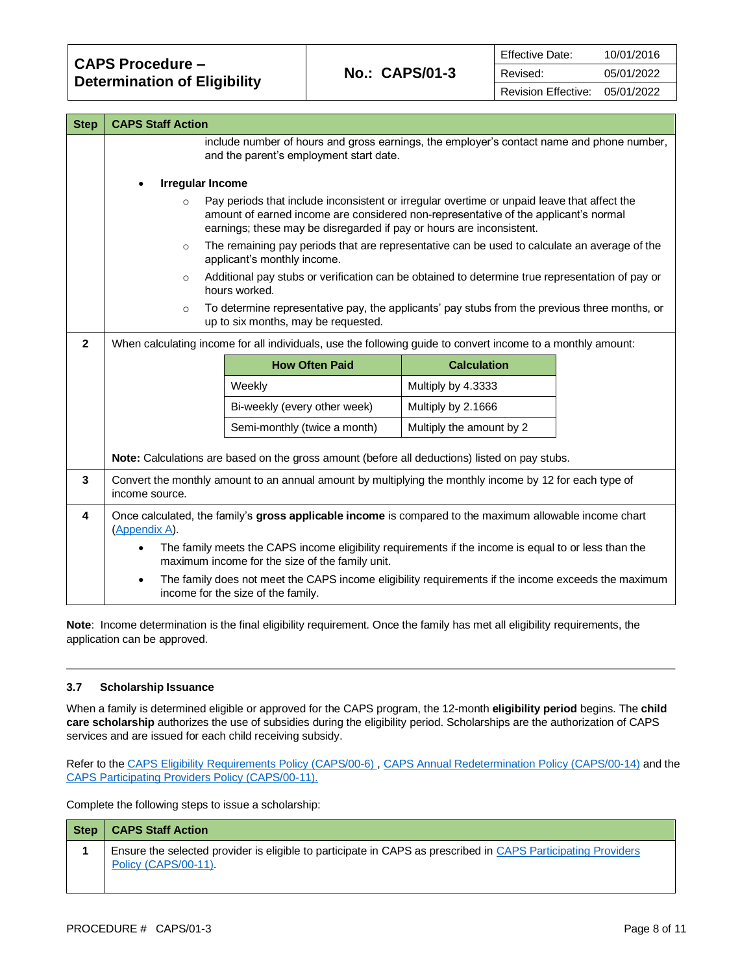| <b>Step</b>  | <b>CAPS Staff Action</b>                                                                                                             |                                                                                                                                                                                                                                                            |                          |  |  |  |  |
|--------------|--------------------------------------------------------------------------------------------------------------------------------------|------------------------------------------------------------------------------------------------------------------------------------------------------------------------------------------------------------------------------------------------------------|--------------------------|--|--|--|--|
|              | include number of hours and gross earnings, the employer's contact name and phone number,<br>and the parent's employment start date. |                                                                                                                                                                                                                                                            |                          |  |  |  |  |
|              | <b>Irregular Income</b><br>$\bullet$                                                                                                 |                                                                                                                                                                                                                                                            |                          |  |  |  |  |
|              | $\circ$                                                                                                                              | Pay periods that include inconsistent or irregular overtime or unpaid leave that affect the<br>amount of earned income are considered non-representative of the applicant's normal<br>earnings; these may be disregarded if pay or hours are inconsistent. |                          |  |  |  |  |
|              | $\circ$                                                                                                                              | The remaining pay periods that are representative can be used to calculate an average of the<br>applicant's monthly income.                                                                                                                                |                          |  |  |  |  |
|              | $\circ$                                                                                                                              | Additional pay stubs or verification can be obtained to determine true representation of pay or<br>hours worked.                                                                                                                                           |                          |  |  |  |  |
|              | $\circ$                                                                                                                              | To determine representative pay, the applicants' pay stubs from the previous three months, or<br>up to six months, may be requested.                                                                                                                       |                          |  |  |  |  |
| $\mathbf{2}$ |                                                                                                                                      | When calculating income for all individuals, use the following guide to convert income to a monthly amount:                                                                                                                                                |                          |  |  |  |  |
|              |                                                                                                                                      | <b>How Often Paid</b>                                                                                                                                                                                                                                      | <b>Calculation</b>       |  |  |  |  |
|              |                                                                                                                                      | Weekly                                                                                                                                                                                                                                                     | Multiply by 4.3333       |  |  |  |  |
|              |                                                                                                                                      | Bi-weekly (every other week)                                                                                                                                                                                                                               | Multiply by 2.1666       |  |  |  |  |
|              |                                                                                                                                      | Semi-monthly (twice a month)                                                                                                                                                                                                                               | Multiply the amount by 2 |  |  |  |  |
|              |                                                                                                                                      | Note: Calculations are based on the gross amount (before all deductions) listed on pay stubs.                                                                                                                                                              |                          |  |  |  |  |
| 3            | income source.                                                                                                                       | Convert the monthly amount to an annual amount by multiplying the monthly income by 12 for each type of                                                                                                                                                    |                          |  |  |  |  |
| 4            | Once calculated, the family's gross applicable income is compared to the maximum allowable income chart<br>(Appendix A).             |                                                                                                                                                                                                                                                            |                          |  |  |  |  |
|              | $\bullet$                                                                                                                            | The family meets the CAPS income eligibility requirements if the income is equal to or less than the<br>maximum income for the size of the family unit.                                                                                                    |                          |  |  |  |  |
|              | $\bullet$                                                                                                                            | The family does not meet the CAPS income eligibility requirements if the income exceeds the maximum<br>income for the size of the family.                                                                                                                  |                          |  |  |  |  |

**Note**: Income determination is the final eligibility requirement. Once the family has met all eligibility requirements, the application can be approved.

# **3.7 Scholarship Issuance**

When a family is determined eligible or approved for the CAPS program, the 12-month **eligibility period** begins. The **child care scholarship** authorizes the use of subsidies during the eligibility period. Scholarships are the authorization of CAPS services and are issued for each child receiving subsidy.

Refer to th[e CAPS Eligibility Requirements Policy \(CAPS/00-6\)](https://caps.decal.ga.gov/assets/downloads/CAPS/06-CAPS_Policy-Eligibility%20Requirements.pdf)[, CAPS Annual Redetermination Policy \(CAPS/00-14\)](https://caps.decal.ga.gov/assets/downloads/CAPS/14-CAPS_Policy-Annual%20Redetermination.pdf) and the [CAPS Participating Providers Policy \(CAPS/00-11\).](https://caps.decal.ga.gov/assets/downloads/CAPS/11-CAPS_Policy-Participating%20Providers.pdf)

Complete the following steps to issue a scholarship:

| <b>Step</b> | <b>CAPS Staff Action</b>                                                                                                              |
|-------------|---------------------------------------------------------------------------------------------------------------------------------------|
|             | Ensure the selected provider is eligible to participate in CAPS as prescribed in CAPS Participating Providers<br>Policy (CAPS/00-11). |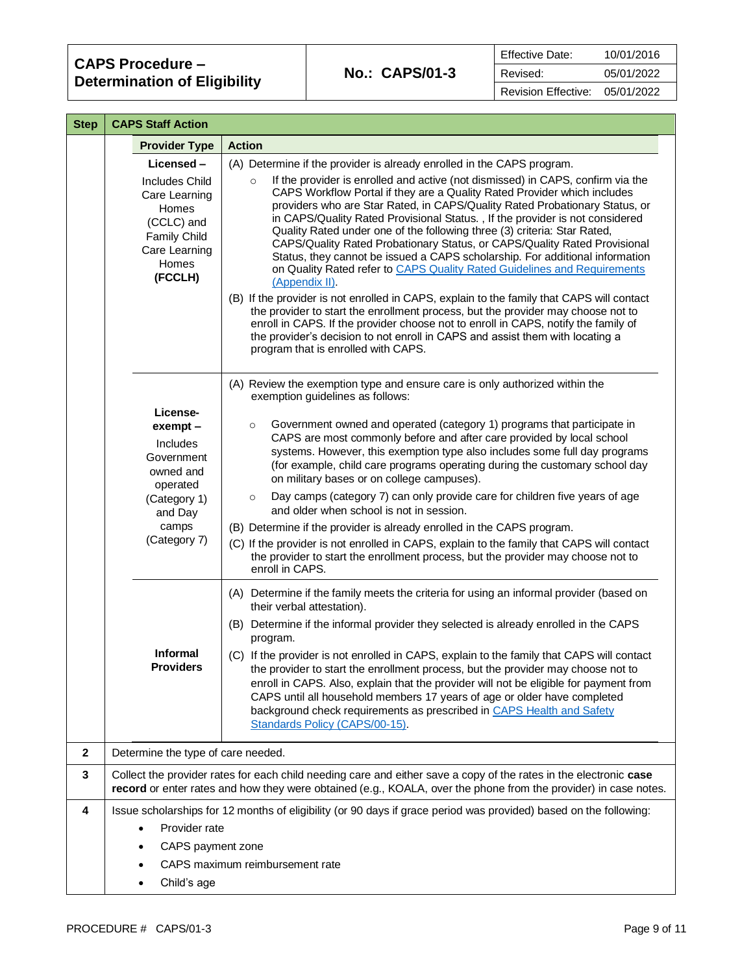| <b>Step</b>      | <b>CAPS Staff Action</b>                                                                                                  |                                                                                                                                                                                                                                                                                                                                                                                                                                                                                                                                                                                                                                                                              |
|------------------|---------------------------------------------------------------------------------------------------------------------------|------------------------------------------------------------------------------------------------------------------------------------------------------------------------------------------------------------------------------------------------------------------------------------------------------------------------------------------------------------------------------------------------------------------------------------------------------------------------------------------------------------------------------------------------------------------------------------------------------------------------------------------------------------------------------|
|                  | <b>Provider Type</b>                                                                                                      | <b>Action</b>                                                                                                                                                                                                                                                                                                                                                                                                                                                                                                                                                                                                                                                                |
|                  | Licensed-                                                                                                                 | (A) Determine if the provider is already enrolled in the CAPS program.                                                                                                                                                                                                                                                                                                                                                                                                                                                                                                                                                                                                       |
|                  | <b>Includes Child</b><br>Care Learning<br>Homes<br>(CCLC) and<br><b>Family Child</b><br>Care Learning<br>Homes<br>(FCCLH) | If the provider is enrolled and active (not dismissed) in CAPS, confirm via the<br>$\circ$<br>CAPS Workflow Portal if they are a Quality Rated Provider which includes<br>providers who are Star Rated, in CAPS/Quality Rated Probationary Status, or<br>in CAPS/Quality Rated Provisional Status., If the provider is not considered<br>Quality Rated under one of the following three (3) criteria: Star Rated,<br>CAPS/Quality Rated Probationary Status, or CAPS/Quality Rated Provisional<br>Status, they cannot be issued a CAPS scholarship. For additional information<br>on Quality Rated refer to CAPS Quality Rated Guidelines and Requirements<br>(Appendix II). |
|                  |                                                                                                                           | (B) If the provider is not enrolled in CAPS, explain to the family that CAPS will contact<br>the provider to start the enrollment process, but the provider may choose not to<br>enroll in CAPS. If the provider choose not to enroll in CAPS, notify the family of<br>the provider's decision to not enroll in CAPS and assist them with locating a<br>program that is enrolled with CAPS.                                                                                                                                                                                                                                                                                  |
|                  |                                                                                                                           | (A) Review the exemption type and ensure care is only authorized within the<br>exemption guidelines as follows:                                                                                                                                                                                                                                                                                                                                                                                                                                                                                                                                                              |
|                  | License-<br>exempt -<br>Includes<br>Government<br>owned and<br>operated                                                   | Government owned and operated (category 1) programs that participate in<br>$\circ$<br>CAPS are most commonly before and after care provided by local school<br>systems. However, this exemption type also includes some full day programs<br>(for example, child care programs operating during the customary school day<br>on military bases or on college campuses).                                                                                                                                                                                                                                                                                                       |
|                  | (Category 1)<br>and Day                                                                                                   | Day camps (category 7) can only provide care for children five years of age<br>$\circ$<br>and older when school is not in session.                                                                                                                                                                                                                                                                                                                                                                                                                                                                                                                                           |
|                  | camps                                                                                                                     | (B) Determine if the provider is already enrolled in the CAPS program.                                                                                                                                                                                                                                                                                                                                                                                                                                                                                                                                                                                                       |
|                  | (Category 7)                                                                                                              | (C) If the provider is not enrolled in CAPS, explain to the family that CAPS will contact<br>the provider to start the enrollment process, but the provider may choose not to<br>enroll in CAPS.                                                                                                                                                                                                                                                                                                                                                                                                                                                                             |
|                  |                                                                                                                           | (A) Determine if the family meets the criteria for using an informal provider (based on<br>their verbal attestation).                                                                                                                                                                                                                                                                                                                                                                                                                                                                                                                                                        |
|                  |                                                                                                                           | (B) Determine if the informal provider they selected is already enrolled in the CAPS<br>program.                                                                                                                                                                                                                                                                                                                                                                                                                                                                                                                                                                             |
|                  | <b>Informal</b><br><b>Providers</b>                                                                                       | (C) If the provider is not enrolled in CAPS, explain to the family that CAPS will contact<br>the provider to start the enrollment process, but the provider may choose not to<br>enroll in CAPS. Also, explain that the provider will not be eligible for payment from<br>CAPS until all household members 17 years of age or older have completed<br>background check requirements as prescribed in CAPS Health and Safety<br>Standards Policy (CAPS/00-15).                                                                                                                                                                                                                |
| $\boldsymbol{2}$ | Determine the type of care needed.                                                                                        |                                                                                                                                                                                                                                                                                                                                                                                                                                                                                                                                                                                                                                                                              |
| 3                |                                                                                                                           | Collect the provider rates for each child needing care and either save a copy of the rates in the electronic case<br>record or enter rates and how they were obtained (e.g., KOALA, over the phone from the provider) in case notes.                                                                                                                                                                                                                                                                                                                                                                                                                                         |
| 4                |                                                                                                                           | Issue scholarships for 12 months of eligibility (or 90 days if grace period was provided) based on the following:                                                                                                                                                                                                                                                                                                                                                                                                                                                                                                                                                            |
|                  | Provider rate<br>$\bullet$                                                                                                |                                                                                                                                                                                                                                                                                                                                                                                                                                                                                                                                                                                                                                                                              |
|                  | CAPS payment zone<br>$\bullet$                                                                                            |                                                                                                                                                                                                                                                                                                                                                                                                                                                                                                                                                                                                                                                                              |
|                  |                                                                                                                           | CAPS maximum reimbursement rate                                                                                                                                                                                                                                                                                                                                                                                                                                                                                                                                                                                                                                              |
|                  | Child's age<br>٠                                                                                                          |                                                                                                                                                                                                                                                                                                                                                                                                                                                                                                                                                                                                                                                                              |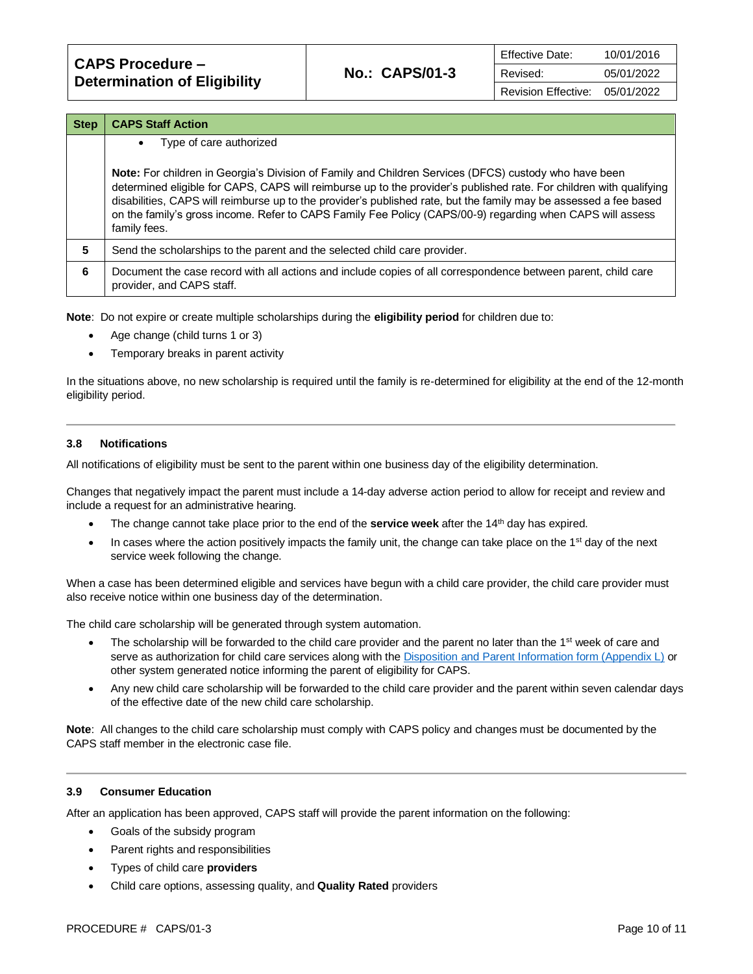| <b>CAPS Procedure -</b>             |                       | <b>Effective Date:</b>     | 10/01/2016 |
|-------------------------------------|-----------------------|----------------------------|------------|
|                                     | <b>No.: CAPS/01-3</b> | Revised:                   | 05/01/2022 |
| <b>Determination of Eligibility</b> |                       | <b>Revision Effective:</b> | 05/01/2022 |

| <b>Step</b> | <b>CAPS Staff Action</b>                                                                                                                                                                                                                                                                                                                                                                                                                                                       |
|-------------|--------------------------------------------------------------------------------------------------------------------------------------------------------------------------------------------------------------------------------------------------------------------------------------------------------------------------------------------------------------------------------------------------------------------------------------------------------------------------------|
|             | Type of care authorized<br>$\bullet$                                                                                                                                                                                                                                                                                                                                                                                                                                           |
|             | Note: For children in Georgia's Division of Family and Children Services (DFCS) custody who have been<br>determined eligible for CAPS, CAPS will reimburse up to the provider's published rate. For children with qualifying<br>disabilities, CAPS will reimburse up to the provider's published rate, but the family may be assessed a fee based<br>on the family's gross income. Refer to CAPS Family Fee Policy (CAPS/00-9) regarding when CAPS will assess<br>family fees. |
| 5           | Send the scholarships to the parent and the selected child care provider.                                                                                                                                                                                                                                                                                                                                                                                                      |
| 6           | Document the case record with all actions and include copies of all correspondence between parent, child care<br>provider, and CAPS staff.                                                                                                                                                                                                                                                                                                                                     |

**Note**: Do not expire or create multiple scholarships during the **eligibility period** for children due to:

- Age change (child turns 1 or 3)
- Temporary breaks in parent activity

In the situations above, no new scholarship is required until the family is re-determined for eligibility at the end of the 12-month eligibility period.

### **3.8 Notifications**

All notifications of eligibility must be sent to the parent within one business day of the eligibility determination.

Changes that negatively impact the parent must include a 14-day adverse action period to allow for receipt and review and include a request for an administrative hearing.

- The change cannot take place prior to the end of the **service week** after the 14<sup>th</sup> day has expired.
- In cases where the action positively impacts the family unit, the change can take place on the 1<sup>st</sup> day of the next service week following the change.

When a case has been determined eligible and services have begun with a child care provider, the child care provider must also receive notice within one business day of the determination.

The child care scholarship will be generated through system automation.

- The scholarship will be forwarded to the child care provider and the parent no later than the 1<sup>st</sup> week of care and serve as authorization for child care services along with the [Disposition and Parent Information form \(Appendix L\)](https://caps.decal.ga.gov/assets/downloads/CAPS/AppendixL-Form%2062_Disposition_and_Parent%20Information.pdf) or other system generated notice informing the parent of eligibility for CAPS.
- Any new child care scholarship will be forwarded to the child care provider and the parent within seven calendar days of the effective date of the new child care scholarship.

**Note**: All changes to the child care scholarship must comply with CAPS policy and changes must be documented by the CAPS staff member in the electronic case file.

#### **3.9 Consumer Education**

After an application has been approved, CAPS staff will provide the parent information on the following:

- Goals of the subsidy program
- Parent rights and responsibilities
- Types of child care **providers**
- Child care options, assessing quality, and **Quality Rated** providers